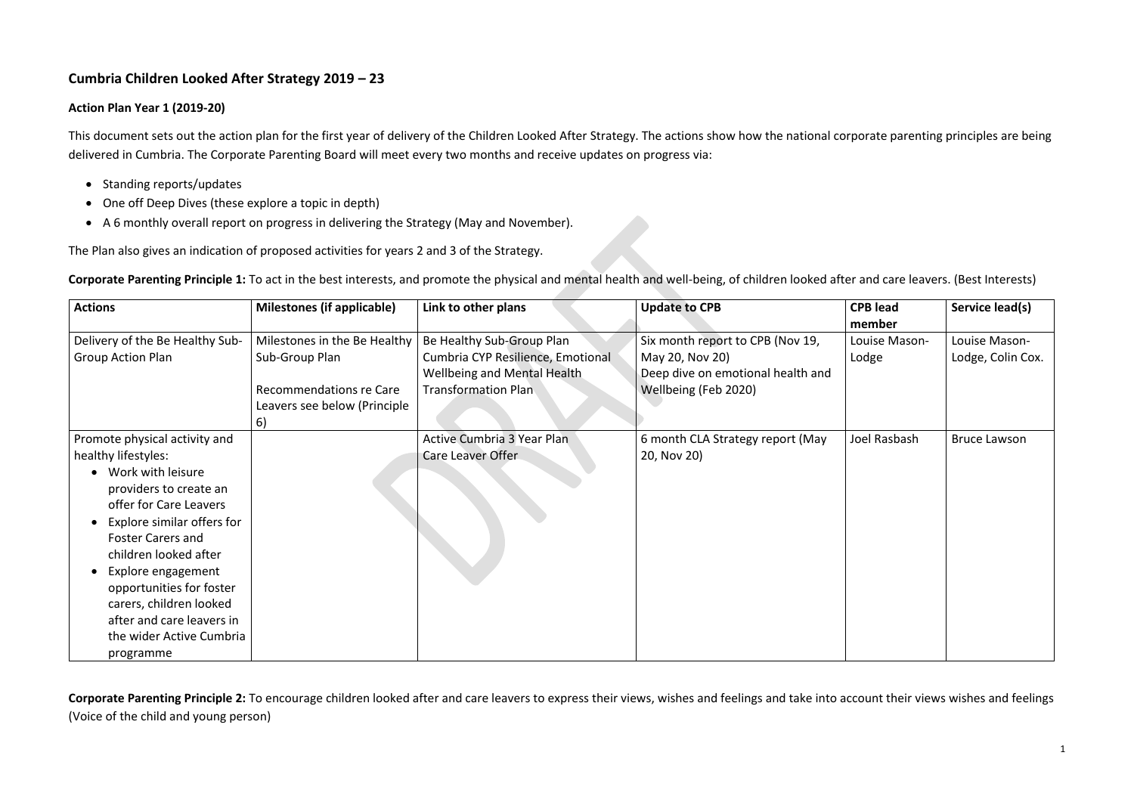# **Cumbria Children Looked After Strategy 2019 – 23**

## **Action Plan Year 1 (2019-20)**

This document sets out the action plan for the first year of delivery of the Children Looked After Strategy. The actions show how the national corporate parenting principles are being delivered in Cumbria. The Corporate Parenting Board will meet every two months and receive updates on progress via:

- Standing reports/updates
- One off Deep Dives (these explore a topic in depth)
- A 6 monthly overall report on progress in delivering the Strategy (May and November).

The Plan also gives an indication of proposed activities for years 2 and 3 of the Strategy.

**Corporate Parenting Principle 1:** To act in the best interests, and promote the physical and mental health and well-being, of children looked after and care leavers. (Best Interests)

| <b>Actions</b>                  | <b>Milestones (if applicable)</b> | Link to other plans                | <b>Update to CPB</b>              | <b>CPB lead</b><br>member | Service lead(s)     |
|---------------------------------|-----------------------------------|------------------------------------|-----------------------------------|---------------------------|---------------------|
| Delivery of the Be Healthy Sub- | Milestones in the Be Healthy      | Be Healthy Sub-Group Plan          | Six month report to CPB (Nov 19,  | Louise Mason-             | Louise Mason-       |
| <b>Group Action Plan</b>        | Sub-Group Plan                    | Cumbria CYP Resilience, Emotional  | May 20, Nov 20)                   | Lodge                     | Lodge, Colin Cox.   |
|                                 |                                   | <b>Wellbeing and Mental Health</b> | Deep dive on emotional health and |                           |                     |
|                                 | Recommendations re Care           | <b>Transformation Plan</b>         | Wellbeing (Feb 2020)              |                           |                     |
|                                 | Leavers see below (Principle      |                                    |                                   |                           |                     |
|                                 | 6)                                |                                    |                                   |                           |                     |
| Promote physical activity and   |                                   | <b>Active Cumbria 3 Year Plan</b>  | 6 month CLA Strategy report (May  | Joel Rasbash              | <b>Bruce Lawson</b> |
| healthy lifestyles:             |                                   | Care Leaver Offer                  | 20, Nov 20)                       |                           |                     |
| Work with leisure               |                                   |                                    |                                   |                           |                     |
| providers to create an          |                                   |                                    |                                   |                           |                     |
| offer for Care Leavers          |                                   |                                    |                                   |                           |                     |
| Explore similar offers for      |                                   |                                    |                                   |                           |                     |
| <b>Foster Carers and</b>        |                                   |                                    |                                   |                           |                     |
| children looked after           |                                   |                                    |                                   |                           |                     |
| Explore engagement              |                                   |                                    |                                   |                           |                     |
| opportunities for foster        |                                   |                                    |                                   |                           |                     |
| carers, children looked         |                                   |                                    |                                   |                           |                     |
| after and care leavers in       |                                   |                                    |                                   |                           |                     |
| the wider Active Cumbria        |                                   |                                    |                                   |                           |                     |
| programme                       |                                   |                                    |                                   |                           |                     |

**Corporate Parenting Principle 2:** To encourage children looked after and care leavers to express their views, wishes and feelings and take into account their views wishes and feelings (Voice of the child and young person)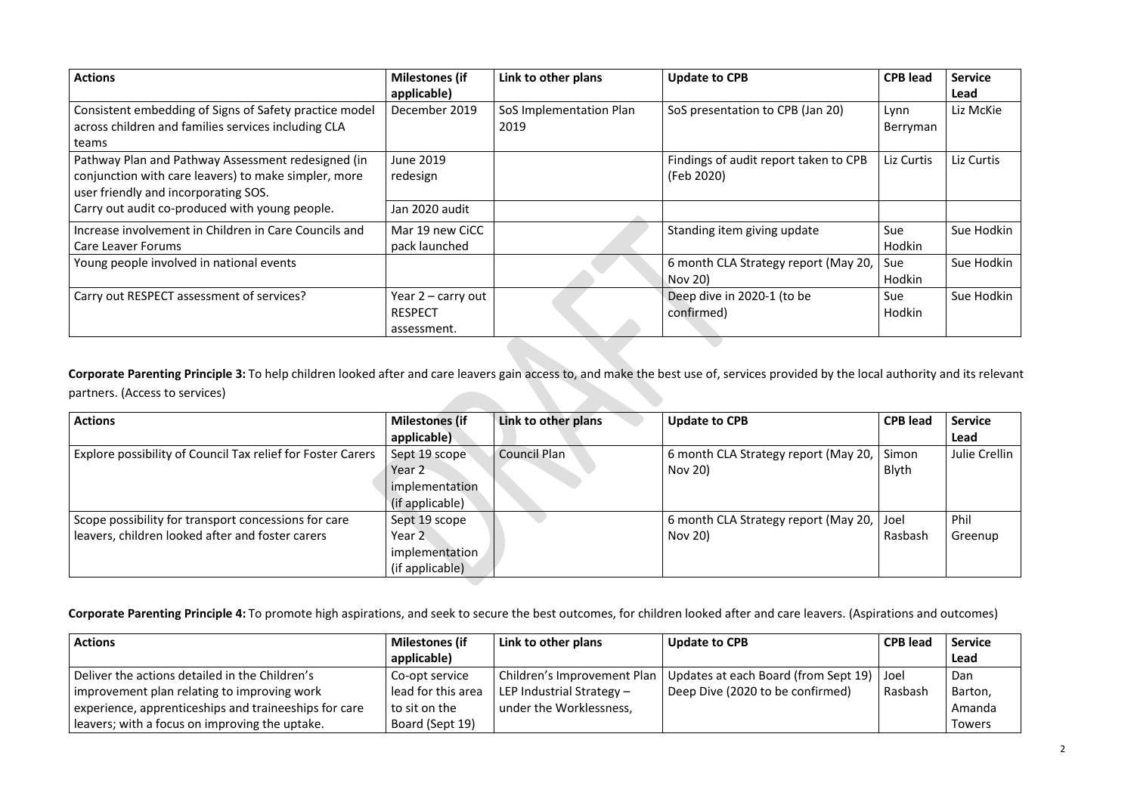| <b>Actions</b>                                         | <b>Milestones (if</b> | Link to other plans     | <b>Update to CPB</b>                  | <b>CPB lead</b> | <b>Service</b> |
|--------------------------------------------------------|-----------------------|-------------------------|---------------------------------------|-----------------|----------------|
|                                                        | applicable)           |                         |                                       |                 | Lead           |
| Consistent embedding of Signs of Safety practice model | December 2019         | SoS Implementation Plan | SoS presentation to CPB (Jan 20)      | Lynn            | Liz McKie      |
| across children and families services including CLA    |                       | 2019                    |                                       | Berryman        |                |
| teams                                                  |                       |                         |                                       |                 |                |
| Pathway Plan and Pathway Assessment redesigned (in     | <b>June 2019</b>      |                         | Findings of audit report taken to CPB | Liz Curtis      | Liz Curtis     |
| conjunction with care leavers) to make simpler, more   | redesign              |                         | (Feb 2020)                            |                 |                |
| user friendly and incorporating SOS.                   |                       |                         |                                       |                 |                |
| Carry out audit co-produced with young people.         | Jan 2020 audit        |                         |                                       |                 |                |
| Increase involvement in Children in Care Councils and  | Mar 19 new CiCC       |                         | Standing item giving update           | Sue             | Sue Hodkin     |
| <b>Care Leaver Forums</b>                              | pack launched         |                         |                                       | Hodkin          |                |
| Young people involved in national events               |                       |                         | 6 month CLA Strategy report (May 20,  | Sue             | Sue Hodkin     |
|                                                        |                       |                         | Nov 20)                               | Hodkin          |                |
| Carry out RESPECT assessment of services?              | Year $2$ – carry out  |                         | Deep dive in 2020-1 (to be            | Sue             | Sue Hodkin     |
|                                                        | <b>RESPECT</b>        |                         | confirmed)                            | Hodkin          |                |
|                                                        | assessment.           |                         |                                       |                 |                |
|                                                        |                       |                         |                                       |                 |                |

**Corporate Parenting Principle 3:** To help children looked after and care leavers gain access to, and make the best use of, services provided by the local authority and its relevant partners. (Access to services)

| <b>Actions</b>                                              | <b>Milestones (if</b> | Link to other plans | <b>Update to CPB</b>                      | <b>CPB lead</b> | <b>Service</b> |
|-------------------------------------------------------------|-----------------------|---------------------|-------------------------------------------|-----------------|----------------|
|                                                             | applicable)           |                     |                                           |                 | Lead           |
| Explore possibility of Council Tax relief for Foster Carers | Sept 19 scope         | <b>Council Plan</b> | 6 month CLA Strategy report (May 20,      | Simon           | Julie Crellin  |
|                                                             | Year 2                |                     | Nov 20)                                   | Blyth           |                |
|                                                             | implementation        |                     |                                           |                 |                |
|                                                             | (if applicable)       |                     |                                           |                 |                |
| Scope possibility for transport concessions for care        | Sept 19 scope         |                     | 6 month CLA Strategy report (May 20, Joel |                 | Phil           |
| leavers, children looked after and foster carers            | Year <sub>2</sub>     |                     | Nov 20)                                   | Rasbash         | Greenup        |
|                                                             | implementation        |                     |                                           |                 |                |
|                                                             | (if applicable)       |                     |                                           |                 |                |

**Corporate Parenting Principle 4:** To promote high aspirations, and seek to secure the best outcomes, for children looked after and care leavers. (Aspirations and outcomes)

| <b>Actions</b>                                        | <b>Milestones (if</b> | Link to other plans         | Update to CPB                               | <b>CPB</b> lead | <b>Service</b> |
|-------------------------------------------------------|-----------------------|-----------------------------|---------------------------------------------|-----------------|----------------|
|                                                       | applicable)           |                             |                                             |                 | Lead           |
| Deliver the actions detailed in the Children's        | Co-opt service        | Children's Improvement Plan | Updates at each Board (from Sept 19)   Joel |                 | Dan            |
| improvement plan relating to improving work           | lead for this area    | LEP Industrial Strategy $-$ | Deep Dive (2020 to be confirmed)            | Rasbash         | Barton,        |
| experience, apprenticeships and traineeships for care | to sit on the         | under the Worklessness,     |                                             |                 | Amanda         |
| leavers; with a focus on improving the uptake.        | Board (Sept 19)       |                             |                                             |                 | Towers         |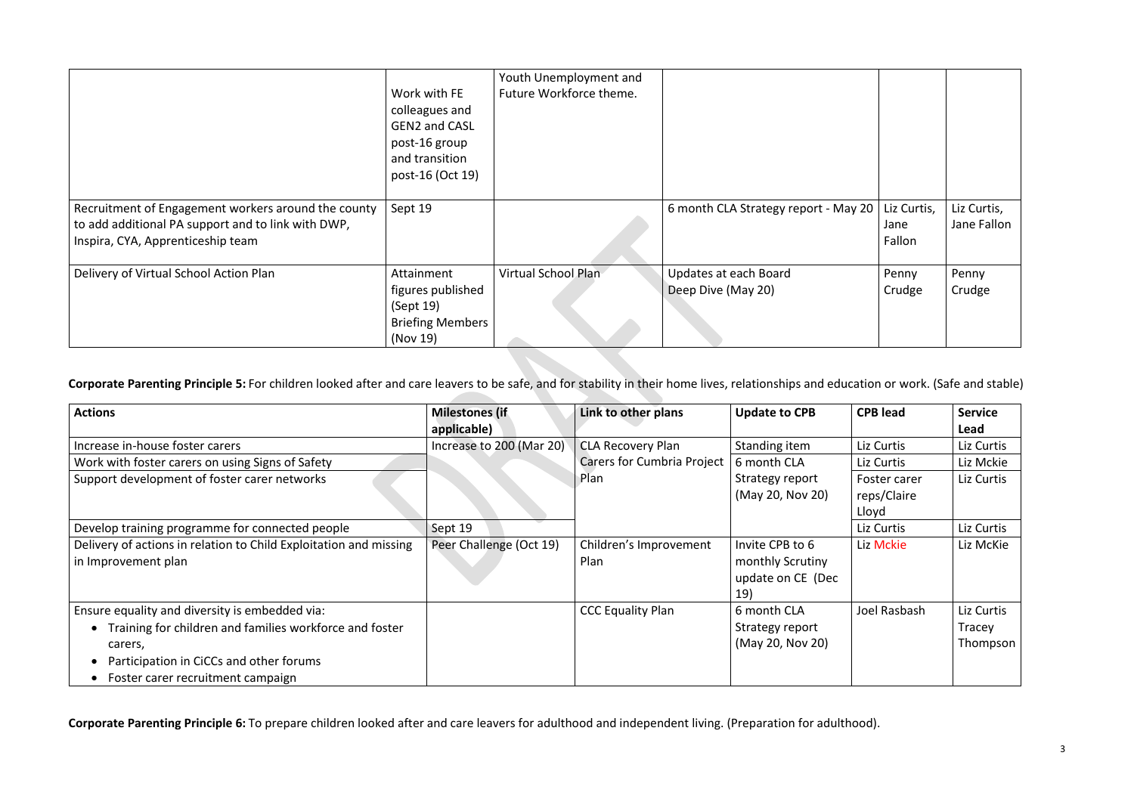|                                                                                                                                                | Work with FE<br>colleagues and<br><b>GEN2 and CASL</b><br>post-16 group<br>and transition<br>post-16 (Oct 19) | Youth Unemployment and<br>Future Workforce theme. |                                             |                               |                            |
|------------------------------------------------------------------------------------------------------------------------------------------------|---------------------------------------------------------------------------------------------------------------|---------------------------------------------------|---------------------------------------------|-------------------------------|----------------------------|
| Recruitment of Engagement workers around the county<br>to add additional PA support and to link with DWP,<br>Inspira, CYA, Apprenticeship team | Sept 19                                                                                                       |                                                   | 6 month CLA Strategy report - May 20        | Liz Curtis,<br>Jane<br>Fallon | Liz Curtis,<br>Jane Fallon |
| Delivery of Virtual School Action Plan                                                                                                         | Attainment<br>figures published<br>(Sept 19)<br><b>Briefing Members</b><br>(Nov 19)                           | Virtual School Plan                               | Updates at each Board<br>Deep Dive (May 20) | Penny<br>Crudge               | Penny<br>Crudge            |

**Corporate Parenting Principle 5:** For children looked after and care leavers to be safe, and for stability in their home lives, relationships and education or work. (Safe and stable)

| <b>Actions</b>                                                                                                                                                                                       | <b>Milestones (if</b>    | Link to other plans               | <b>Update to CPB</b>                                                   | <b>CPB lead</b>             | <b>Service</b>                   |
|------------------------------------------------------------------------------------------------------------------------------------------------------------------------------------------------------|--------------------------|-----------------------------------|------------------------------------------------------------------------|-----------------------------|----------------------------------|
|                                                                                                                                                                                                      | applicable)              |                                   |                                                                        |                             | Lead                             |
| Increase in-house foster carers                                                                                                                                                                      | Increase to 200 (Mar 20) | <b>CLA Recovery Plan</b>          | Standing item                                                          | Liz Curtis                  | Liz Curtis                       |
| Work with foster carers on using Signs of Safety                                                                                                                                                     |                          | <b>Carers for Cumbria Project</b> | 6 month CLA                                                            | Liz Curtis                  | Liz Mckie                        |
| Support development of foster carer networks                                                                                                                                                         |                          | Plan                              | Strategy report<br>(May 20, Nov 20)                                    | Foster carer<br>reps/Claire | Liz Curtis                       |
| Develop training programme for connected people                                                                                                                                                      | Sept 19                  |                                   |                                                                        | Lloyd<br>Liz Curtis         | Liz Curtis                       |
| Delivery of actions in relation to Child Exploitation and missing<br>in Improvement plan                                                                                                             | Peer Challenge (Oct 19)  | Children's Improvement<br>Plan    | Invite CPB to 6<br>monthly Scrutiny<br>update on CE (Dec<br><b>19)</b> | Liz Mckie                   | Liz McKie                        |
| Ensure equality and diversity is embedded via:<br>Training for children and families workforce and foster<br>carers,<br>Participation in CiCCs and other forums<br>Foster carer recruitment campaign |                          | <b>CCC Equality Plan</b>          | 6 month CLA<br>Strategy report<br>(May 20, Nov 20)                     | Joel Rasbash                | Liz Curtis<br>Tracey<br>Thompson |

**Corporate Parenting Principle 6:** To prepare children looked after and care leavers for adulthood and independent living. (Preparation for adulthood).